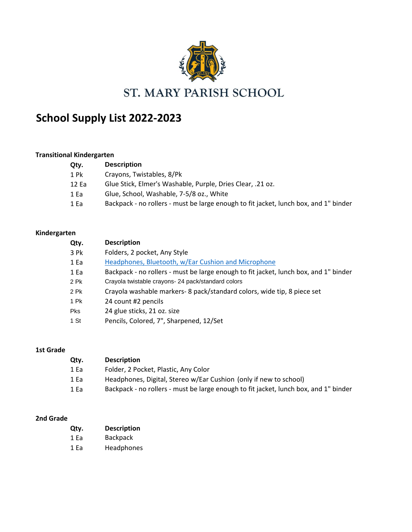

# **School Supply List 2022-2023**

#### **Transitional Kindergarten**

| Qty.  | <b>Description</b>                                                                   |
|-------|--------------------------------------------------------------------------------------|
| 1 Pk  | Crayons, Twistables, 8/Pk                                                            |
| 12 Ea | Glue Stick, Elmer's Washable, Purple, Dries Clear, .21 oz.                           |
| 1 Ea  | Glue, School, Washable, 7-5/8 oz., White                                             |
| 1 Ea  | Backpack - no rollers - must be large enough to fit jacket, lunch box, and 1" binder |

## **Kindergarten**

| Qty.       | <b>Description</b>                                                                   |
|------------|--------------------------------------------------------------------------------------|
| 3 Pk       | Folders, 2 pocket, Any Style                                                         |
| 1 Ea       | Headphones, Bluetooth, w/Ear Cushion and Microphone                                  |
| 1 Ea       | Backpack - no rollers - must be large enough to fit jacket, lunch box, and 1" binder |
| 2 Pk       | Crayola twistable crayons- 24 pack/standard colors                                   |
| 2 Pk       | Crayola washable markers- 8 pack/standard colors, wide tip, 8 piece set              |
| 1 Pk       | 24 count #2 pencils                                                                  |
| <b>Pks</b> | 24 glue sticks, 21 oz. size                                                          |
| 1 St       | Pencils, Colored, 7", Sharpened, 12/Set                                              |

### **1st Grade**

| Qty. | <b>Description</b>                                                                   |
|------|--------------------------------------------------------------------------------------|
| 1 Ea | Folder, 2 Pocket, Plastic, Any Color                                                 |
| 1 Ea | Headphones, Digital, Stereo w/Ear Cushion (only if new to school)                    |
| 1 Ea | Backpack - no rollers - must be large enough to fit jacket, lunch box, and 1" binder |

## **2nd Grade**

| Qty. | <b>Description</b> |
|------|--------------------|
| 1 Ea | <b>Backpack</b>    |
| 1 Ea | Headphones         |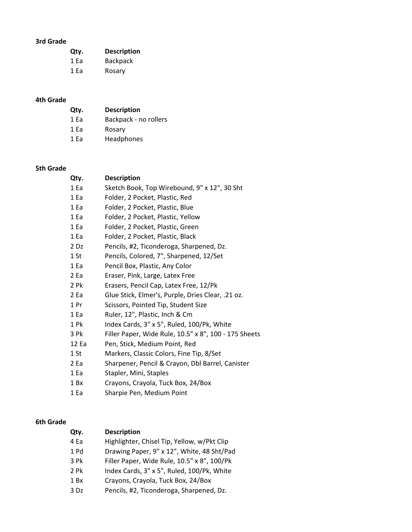#### **3rd Grade**

| Qty. | <b>Description</b> |
|------|--------------------|
| 1 Ea | <b>Backpack</b>    |
| 1 Ea | Rosary             |

#### **4th Grade**

| Qty. | <b>Description</b>    |
|------|-----------------------|
| 1 Ea | Backpack - no rollers |
| 1 Ea | Rosary                |
| 1 Ea | Headphones            |

#### **5th Grade**

| Qty.            | <b>Description</b>                                    |
|-----------------|-------------------------------------------------------|
| 1 Ea            | Sketch Book, Top Wirebound, 9" x 12", 30 Sht          |
| 1 Ea            | Folder, 2 Pocket, Plastic, Red                        |
| 1 Ea            | Folder, 2 Pocket, Plastic, Blue                       |
| 1 Ea            | Folder, 2 Pocket, Plastic, Yellow                     |
| 1 Ea            | Folder, 2 Pocket, Plastic, Green                      |
| 1 Ea            | Folder, 2 Pocket, Plastic, Black                      |
| 2 <sub>Dz</sub> | Pencils, #2, Ticonderoga, Sharpened, Dz.              |
| 1 St            | Pencils, Colored, 7", Sharpened, 12/Set               |
| 1 Ea            | Pencil Box, Plastic, Any Color                        |
| 2 <sub>Ea</sub> | Eraser, Pink, Large, Latex Free                       |
| 2 Pk            | Erasers, Pencil Cap, Latex Free, 12/Pk                |
| 2 <sub>ea</sub> | Glue Stick, Elmer's, Purple, Dries Clear, .21 oz.     |
| 1 Pr            | Scissors, Pointed Tip, Student Size                   |
| 1 Ea            | Ruler, 12", Plastic, Inch & Cm                        |
| 1 Pk            | Index Cards, 3" x 5", Ruled, 100/Pk, White            |
| 3 Pk            | Filler Paper, Wide Rule, 10.5" x 8", 100 - 175 Sheets |
| 12 Ea           | Pen, Stick, Medium Point, Red                         |
| 1 St            | Markers, Classic Colors, Fine Tip, 8/Set              |
| 2 Ea            | Sharpener, Pencil & Crayon, Dbl Barrel, Canister      |
| 1 Ea            | Stapler, Mini, Staples                                |
| 1 Bx            | Crayons, Crayola, Tuck Box, 24/Box                    |
|                 |                                                       |

1 Ea Sharpie Pen, Medium Point

## **6th Grade**

| <b>Description</b>                          |
|---------------------------------------------|
| Highlighter, Chisel Tip, Yellow, w/Pkt Clip |
| Drawing Paper, 9" x 12", White, 48 Sht/Pad  |
| Filler Paper, Wide Rule, 10.5" x 8", 100/Pk |
| Index Cards, 3" x 5", Ruled, 100/Pk, White  |
| Crayons, Crayola, Tuck Box, 24/Box          |
| Pencils, #2, Ticonderoga, Sharpened, Dz.    |
|                                             |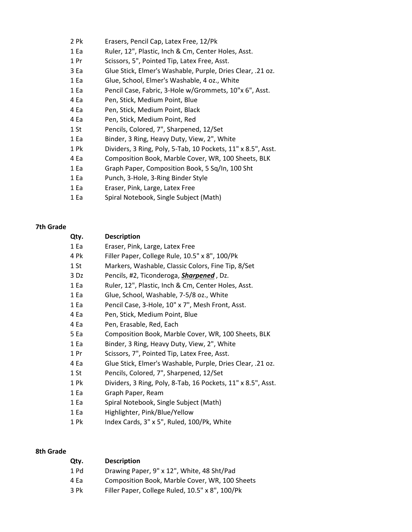- 2 Pk Erasers, Pencil Cap, Latex Free, 12/Pk
- 1 Ea Ruler, 12", Plastic, Inch & Cm, Center Holes, Asst.
- 1 Pr Scissors, 5", Pointed Tip, Latex Free, Asst.
- 3 Ea Glue Stick, Elmer's Washable, Purple, Dries Clear, .21 oz.
- 1 Ea Glue, School, Elmer's Washable, 4 oz., White
- 1 Ea Pencil Case, Fabric, 3-Hole w/Grommets, 10"x 6", Asst.
- 4 Ea Pen, Stick, Medium Point, Blue
- 4 Ea Pen, Stick, Medium Point, Black
- 4 Ea Pen, Stick, Medium Point, Red
- 1 St Pencils, Colored, 7", Sharpened, 12/Set
- 1 Ea Binder, 3 Ring, Heavy Duty, View, 2", White
- 1 Pk Dividers, 3 Ring, Poly, 5-Tab, 10 Pockets, 11" x 8.5", Asst.
- 4 Ea Composition Book, Marble Cover, WR, 100 Sheets, BLK
- 1 Ea Graph Paper, Composition Book, 5 Sq/In, 100 Sht
- 1 Ea Punch, 3-Hole, 3-Ring Binder Style
- 1 Ea Eraser, Pink, Large, Latex Free
- 1 Ea Spiral Notebook, Single Subject (Math)

#### **7th Grade**

| Qty. | <b>Description</b>                                           |
|------|--------------------------------------------------------------|
| 1 Ea | Eraser, Pink, Large, Latex Free                              |
| 4 Pk | Filler Paper, College Rule, 10.5" x 8", 100/Pk               |
| 1 St | Markers, Washable, Classic Colors, Fine Tip, 8/Set           |
| 3 Dz | Pencils, #2, Ticonderoga, <b>Sharpened</b> , Dz.             |
| 1 Ea | Ruler, 12", Plastic, Inch & Cm, Center Holes, Asst.          |
| 1 Ea | Glue, School, Washable, 7-5/8 oz., White                     |
| 1 Ea | Pencil Case, 3-Hole, 10" x 7", Mesh Front, Asst.             |
| 4 Ea | Pen, Stick, Medium Point, Blue                               |
| 4 Ea | Pen, Erasable, Red, Each                                     |
| 5 Ea | Composition Book, Marble Cover, WR, 100 Sheets, BLK          |
| 1 Ea | Binder, 3 Ring, Heavy Duty, View, 2", White                  |
| 1 Pr | Scissors, 7", Pointed Tip, Latex Free, Asst.                 |
| 4 Ea | Glue Stick, Elmer's Washable, Purple, Dries Clear, .21 oz.   |
| 1 St | Pencils, Colored, 7", Sharpened, 12/Set                      |
| 1 Pk | Dividers, 3 Ring, Poly, 8-Tab, 16 Pockets, 11" x 8.5", Asst. |
| 1 Ea | Graph Paper, Ream                                            |
| 1 Ea | Spiral Notebook, Single Subject (Math)                       |
| 1 Ea | Highlighter, Pink/Blue/Yellow                                |
| 1 Pk | Index Cards, 3" x 5", Ruled, 100/Pk, White                   |

#### **8th Grade**

| Qty. | <b>Description</b>                              |
|------|-------------------------------------------------|
| 1 Pd | Drawing Paper, 9" x 12", White, 48 Sht/Pad      |
| 4 Ea | Composition Book, Marble Cover, WR, 100 Sheets  |
| 3 Pk | Filler Paper, College Ruled, 10.5" x 8", 100/Pk |